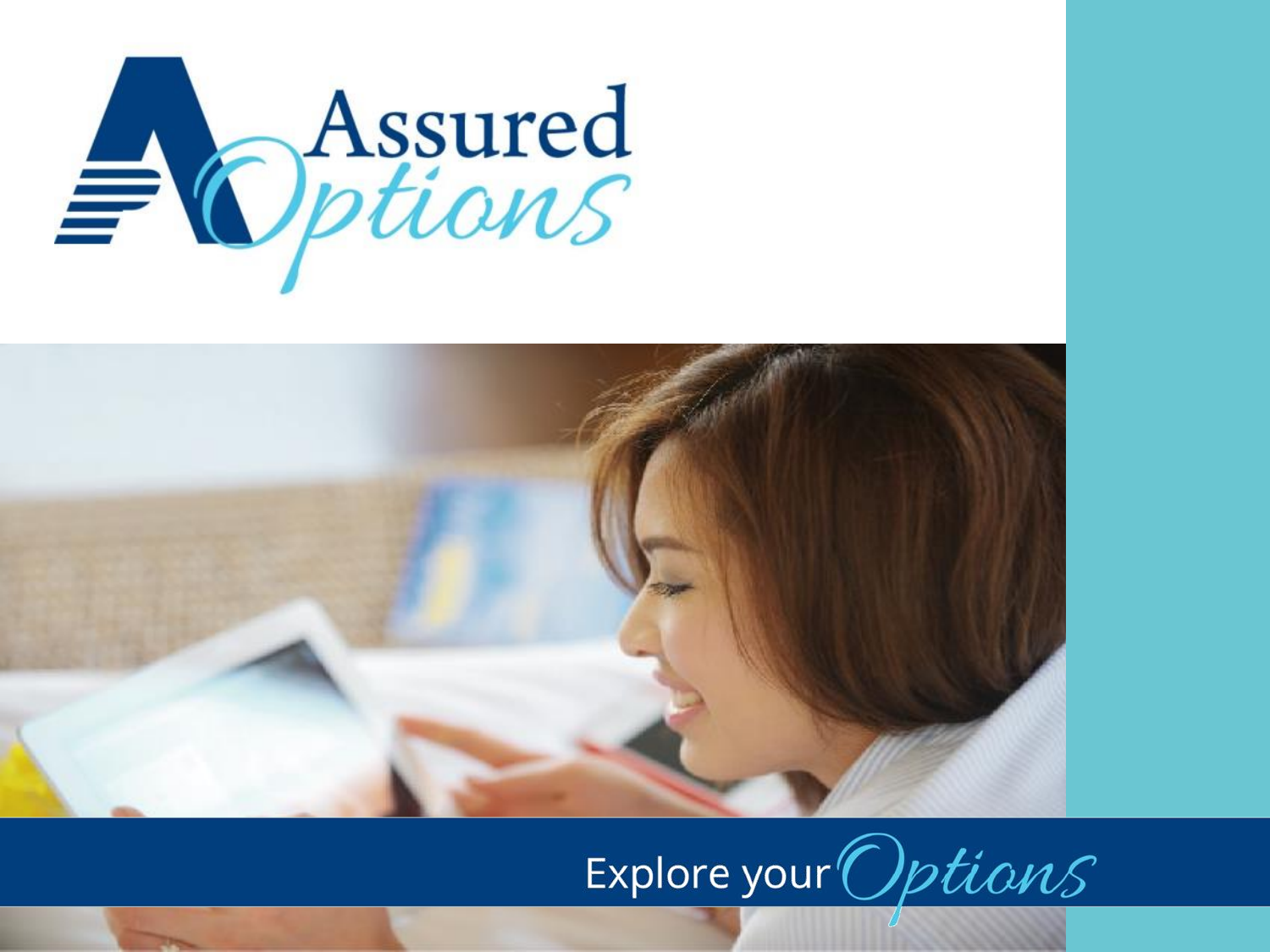



# Explore your Options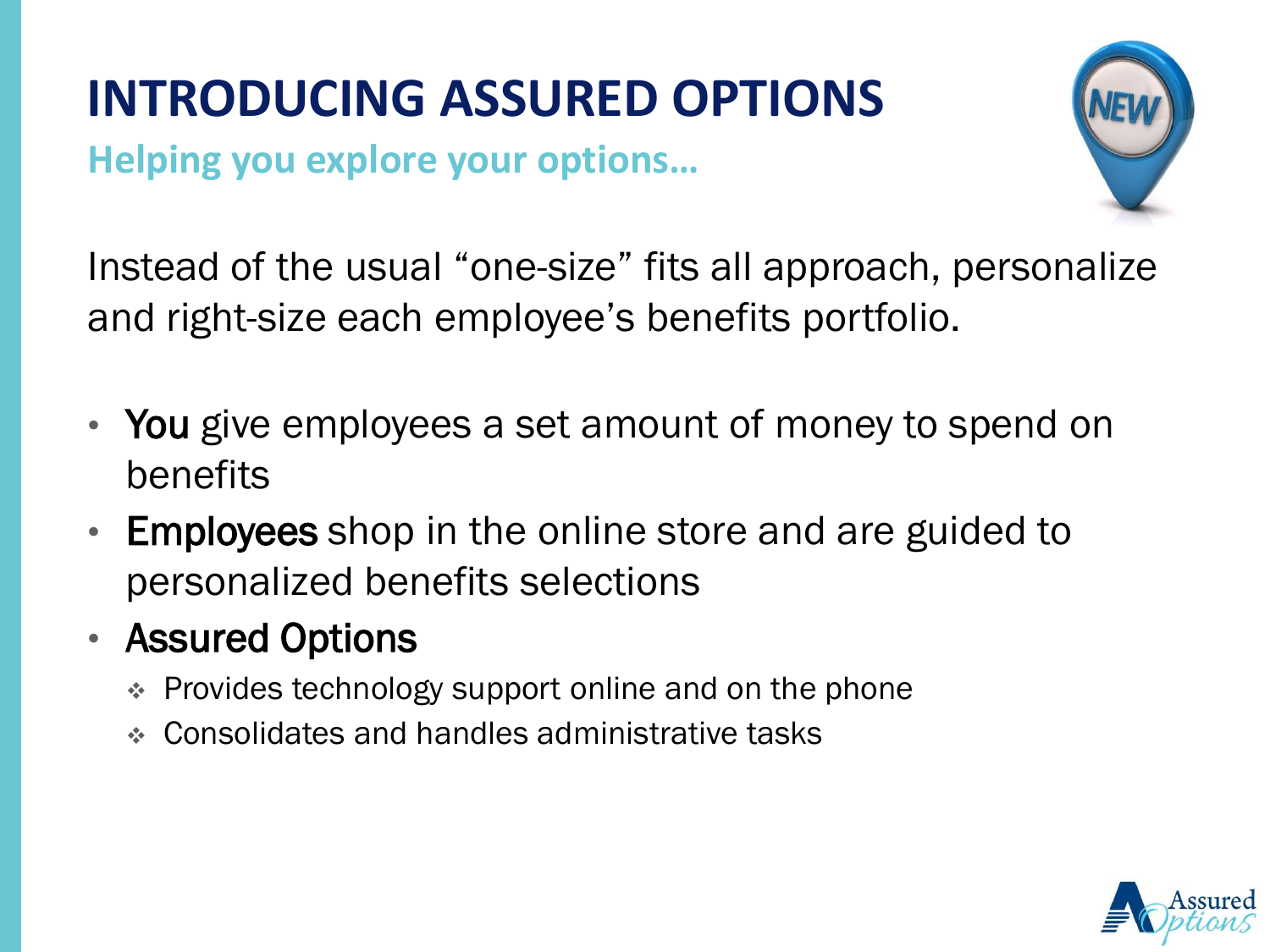# **INTRODUCING ASSURED OPTIONS**

**Helping you explore your options…**



Instead of the usual "one-size" fits all approach, personalize and right-size each employee's benefits portfolio.

- You give employees a set amount of money to spend on benefits
- Employees shop in the online store and are guided to personalized benefits selections
- Assured Options
	- Provides technology support online and on the phone
	- Consolidates and handles administrative tasks

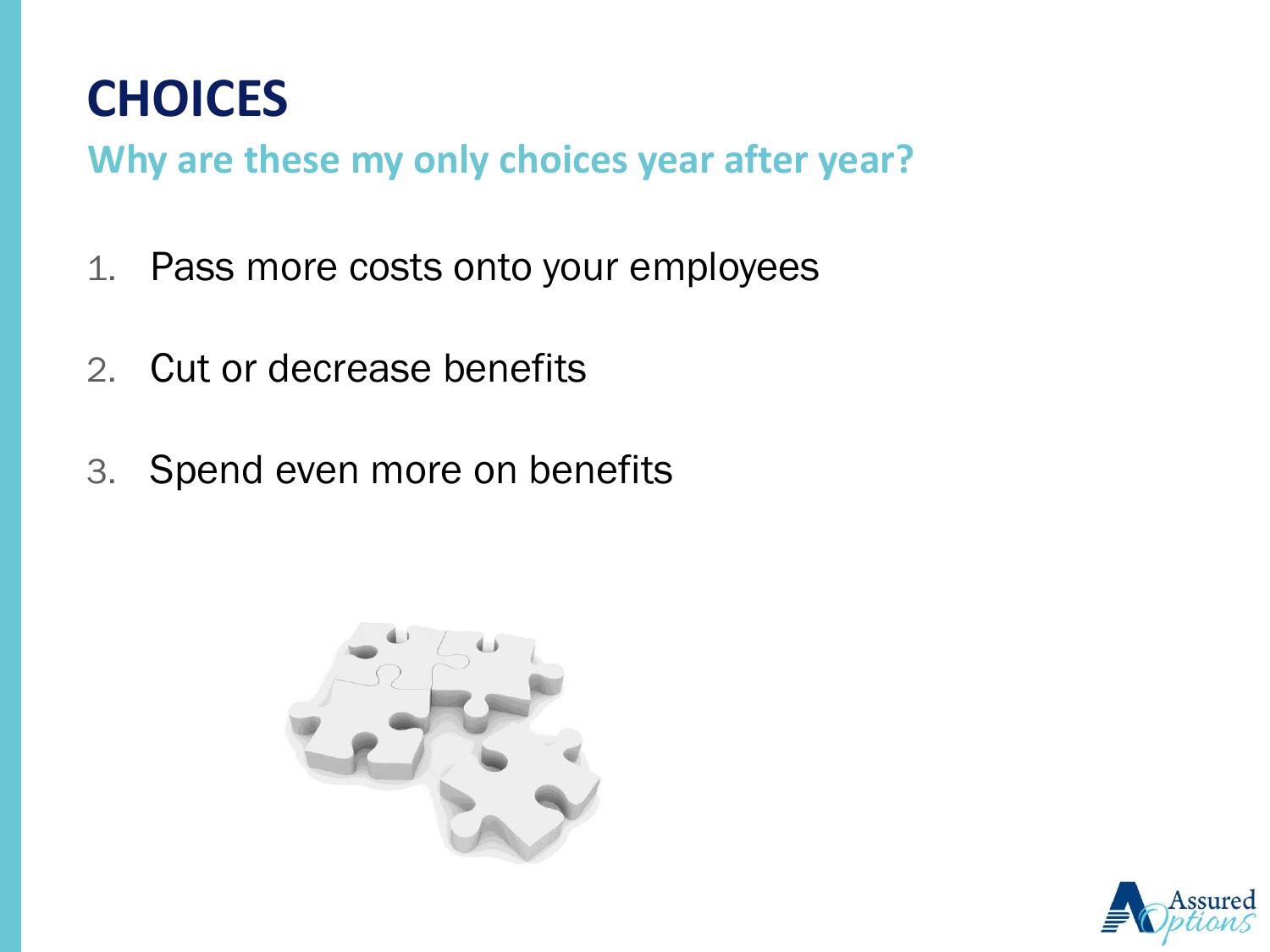

**Why are these my only choices year after year?**

- 1. Pass more costs onto your employees
- 2. Cut or decrease benefits
- 3. Spend even more on benefits



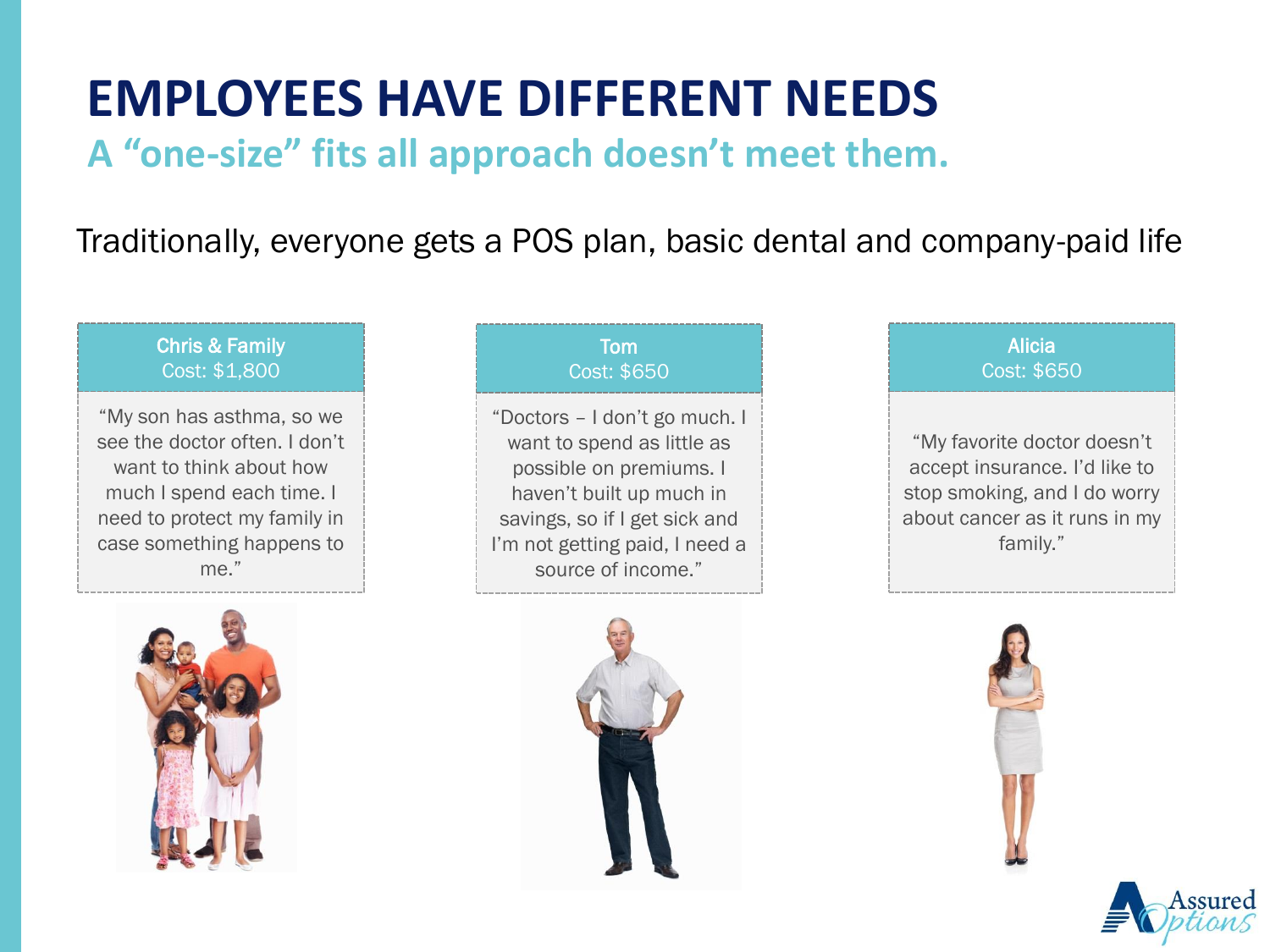### **EMPLOYEES HAVE DIFFERENT NEEDS**

#### **A "one-size" fits all approach doesn't meet them.**

#### Traditionally, everyone gets a POS plan, basic dental and company-paid life

#### Chris & Family Cost: \$1,800

"My son has asthma, so we see the doctor often. I don't want to think about how much I spend each time. I need to protect my family in case something happens to me."



#### Tom Cost: \$650

"Doctors – I don't go much. I want to spend as little as possible on premiums. I haven't built up much in savings, so if I get sick and I'm not getting paid, I need a source of income."



#### "My favorite doctor doesn't accept insurance. I'd like to stop smoking, and I do worry about cancer as it runs in my family." Alicia Cost: \$650



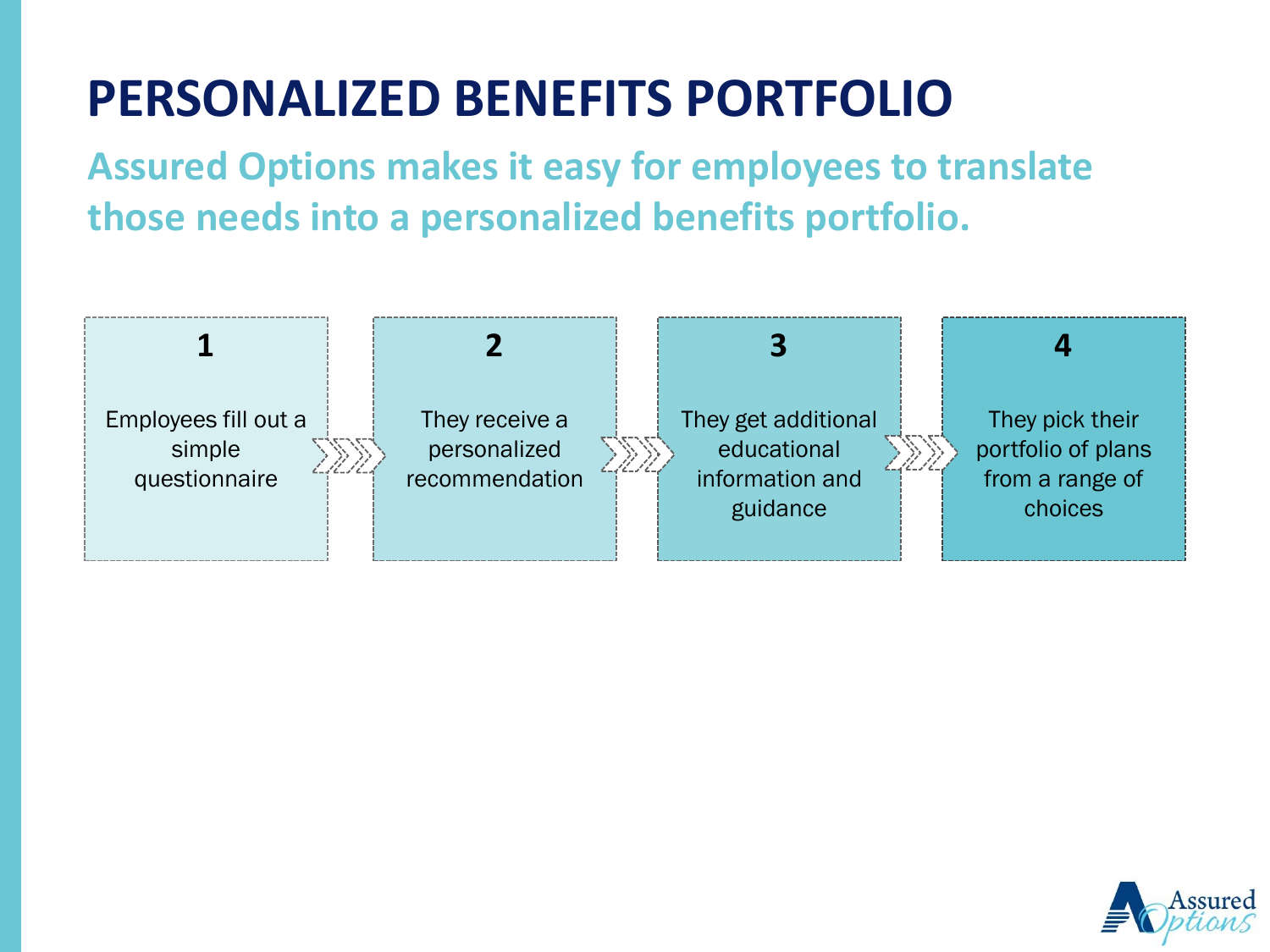# **PERSONALIZED BENEFITS PORTFOLIO**

**Assured Options makes it easy for employees to translate those needs into a personalized benefits portfolio.**



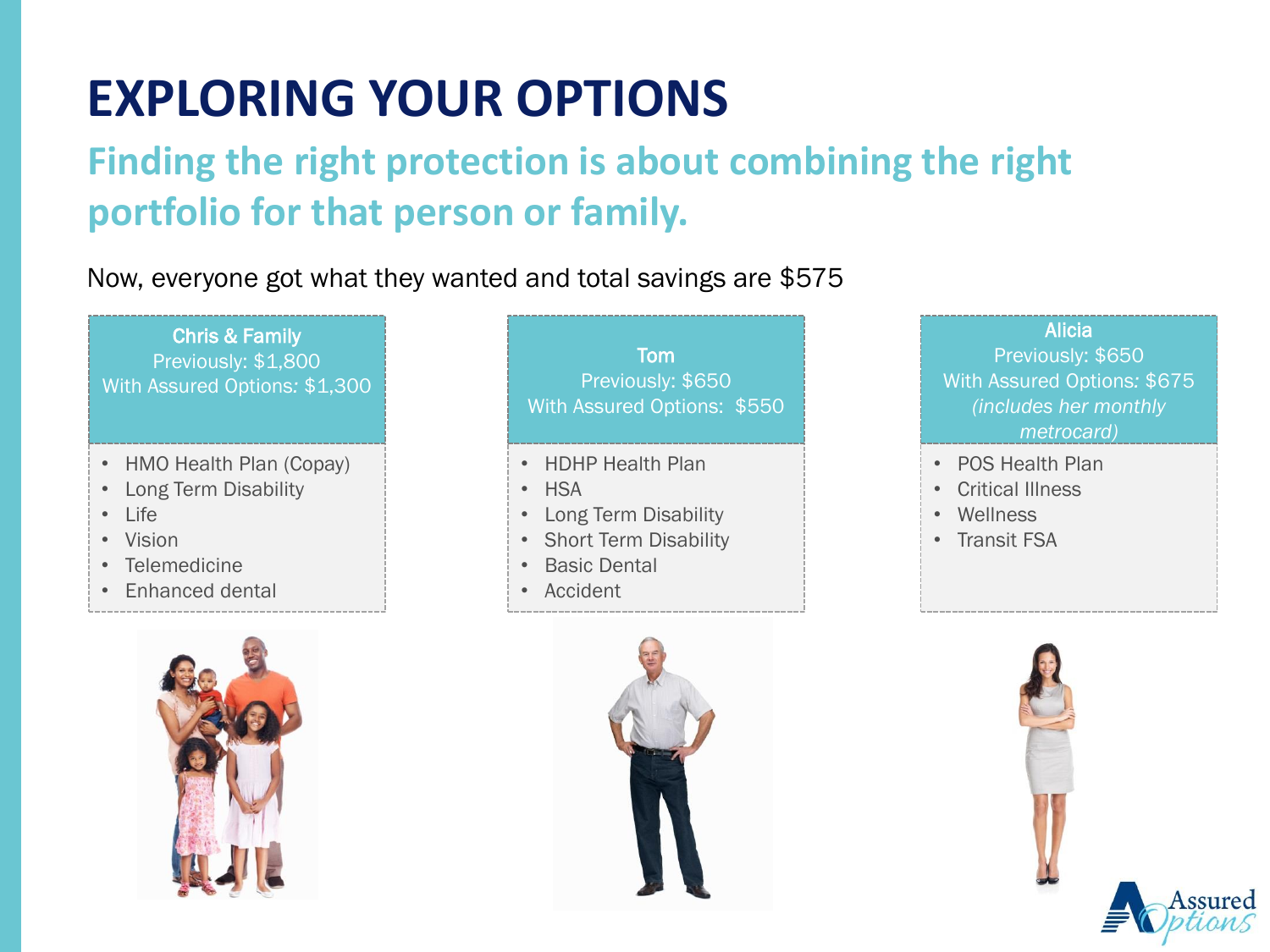# **EXPLORING YOUR OPTIONS**

### **Finding the right protection is about combining the right portfolio for that person or family.**

#### Now, everyone got what they wanted and total savings are \$575

Chris & Family Previously: \$1,800 With Assured Options*:* \$1,300

- HMO Health Plan (Copay)
- Long Term Disability
- Life
- Vision
- Telemedicine
- Enhanced dental



Tom Previously: \$650 With Assured Options: \$550

- HDHP Health Plan
- HSA
- Long Term Disability
- Short Term Disability
- **Basic Dental**
- Accident



#### Alicia

Previously: \$650 With Assured Options*:* \$675 *(includes her monthly metrocard)*

- POS Health Plan
- Critical Illness
- Wellness
- Transit FSA



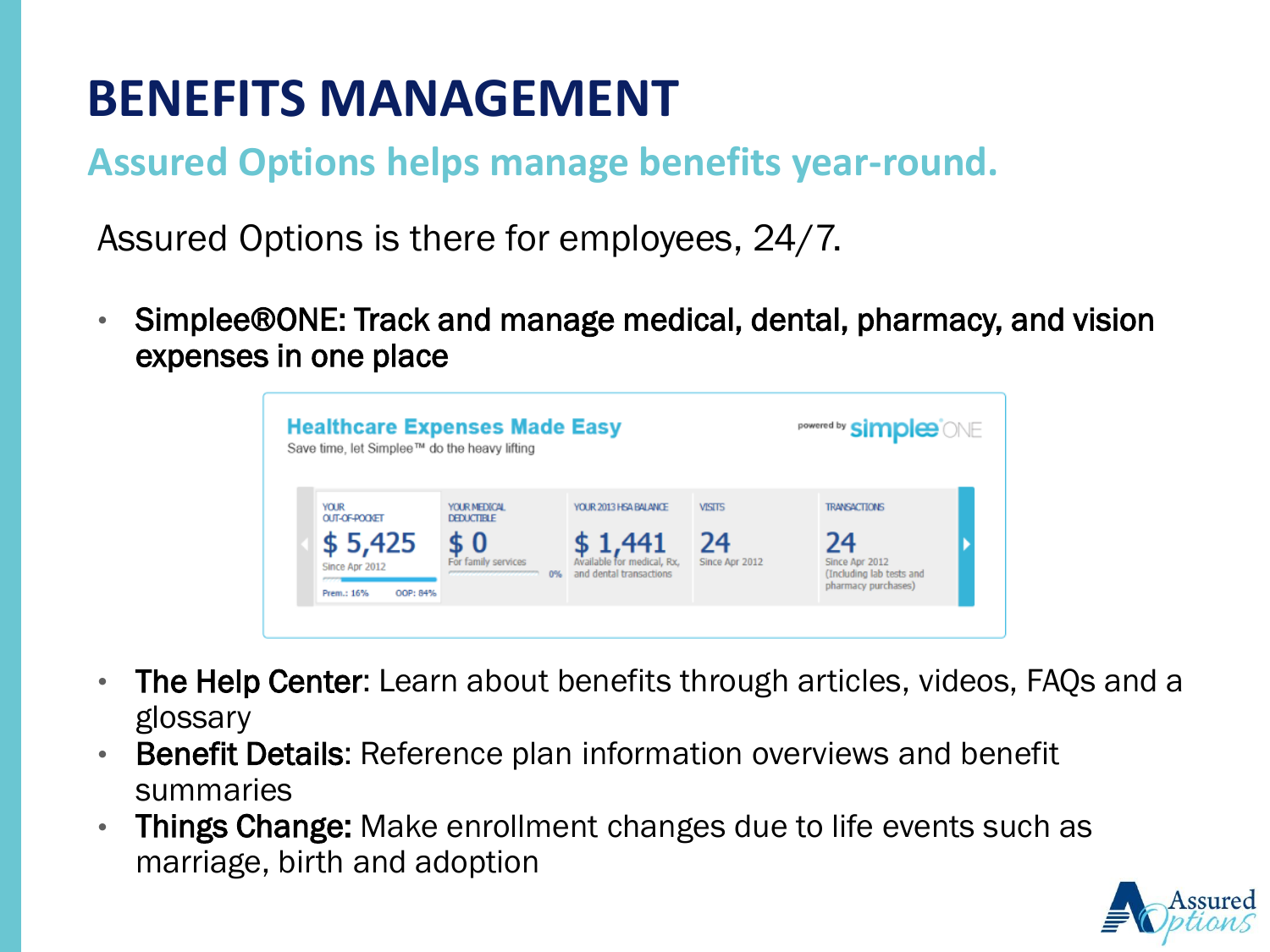## **BENEFITS MANAGEMENT**

### **Assured Options helps manage benefits year-round.**

Assured Options is there for employees, 24/7.

• Simplee®ONE: Track and manage medical, dental, pharmacy, and vision expenses in one place

| Save time, let Simplee™ do the heavy lifting        | <b>Healthcare Expenses Made Easy</b>                         |                                                                    |                      | <b>powered by simples</b> ONE                                           |
|-----------------------------------------------------|--------------------------------------------------------------|--------------------------------------------------------------------|----------------------|-------------------------------------------------------------------------|
|                                                     |                                                              |                                                                    |                      |                                                                         |
| <b>YOUR</b><br>OUT-OF-POOKET                        | YOUR MEDICAL<br><b>DEDUCTIBLE</b>                            | YOUR 2013 HSA BALANCE                                              | <b>VISITS</b>        | <b>TRANSACTIONS</b>                                                     |
| \$5,425<br>Since Apr 2012<br>Prem.: 16%<br>OOP: 84% | \$ U<br>For family services<br>0%<br>,,,,,,,,,,,,,,,,,,,,,,, | \$ 1,441<br>Available for medical, Rx,<br>and dental transactions. | 24<br>Since Apr 2012 | 24<br>Since Apr 2012<br>(Including lab tests and<br>pharmacy purchases) |

- The Help Center: Learn about benefits through articles, videos, FAQs and a glossary
- **Benefit Details:** Reference plan information overviews and benefit summaries
- Things Change: Make enrollment changes due to life events such as marriage, birth and adoption